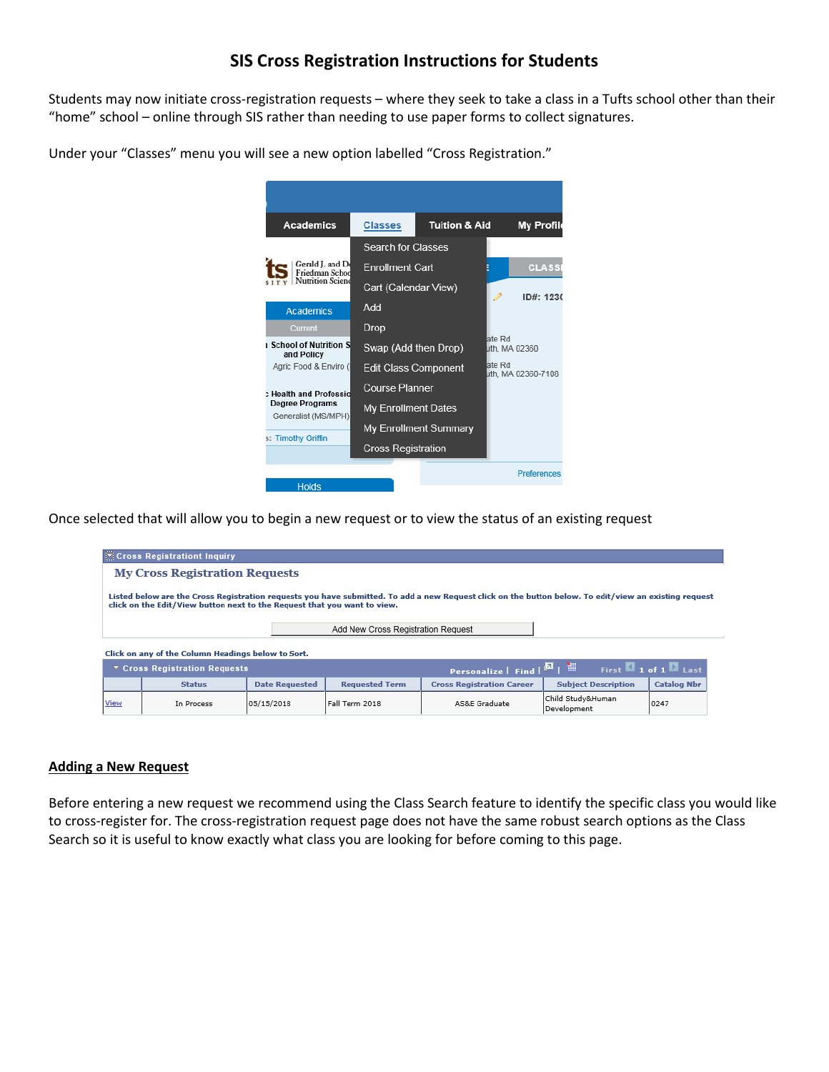## **SIS Cross Registration Instructions for Students**

Students may now initiate cross-registration requests – where they seek to take a class in a Tufts school other than their "home" school – online through SIS rather than needing to use paper forms to collect signatures.

Under your "Classes" menu you will see a new option labelled "Cross Registration."

| <b>Academics</b>                                              | <b>Classes</b>                                                              | <b>Tuition &amp; Aid</b> | <b>My Profile</b>            |  |
|---------------------------------------------------------------|-----------------------------------------------------------------------------|--------------------------|------------------------------|--|
| Gerald J. and De<br>Friedman Schoo<br><b>Nutrition Sciend</b> | <b>Search for Classes</b><br><b>Enrollment Cart</b><br>Cart (Calendar View) |                          | <b>CLASSE</b>                |  |
| <b>Academics</b>                                              | ID#: 1230<br>hbA                                                            |                          |                              |  |
| Current<br>School of Nutrition S<br>and Policy                | Drop<br>Swap (Add then Drop)                                                |                          | ate Rd<br>uth, MA 02360      |  |
| Agric Food & Enviro (<br>: Health and Professio               | <b>Edit Class Component</b><br><b>Course Planner</b>                        |                          | ate Rd<br>uth. MA 02360-7108 |  |
| Degree Programs<br>Generalist (MS/MPH)                        | My Enrollment Dates                                                         |                          |                              |  |
| s: Timothy Griffin                                            | <b>Cross Registration</b>                                                   | My Enrollment Summary    |                              |  |
| Holds                                                         |                                                                             |                          | Preferences                  |  |

Once selected that will allow you to begin a new request or to view the status of an existing request

|      | <b>Ticross Registrationt Inquiry</b>                                                                                                                                                                                              |                       |                       |                                  |                                  |                    |  |
|------|-----------------------------------------------------------------------------------------------------------------------------------------------------------------------------------------------------------------------------------|-----------------------|-----------------------|----------------------------------|----------------------------------|--------------------|--|
|      | <b>My Cross Registration Requests</b>                                                                                                                                                                                             |                       |                       |                                  |                                  |                    |  |
|      | Listed below are the Cross Registration requests you have submitted. To add a new Request click on the button below. To edit/view an existing request<br>click on the Edit/View button next to the Request that you want to view. |                       |                       |                                  |                                  |                    |  |
|      | Add New Cross Registration Request                                                                                                                                                                                                |                       |                       |                                  |                                  |                    |  |
|      | Click on any of the Column Headings below to Sort.                                                                                                                                                                                |                       |                       |                                  |                                  |                    |  |
|      | <b>Personalize</b>   Find $\boxed{\blacksquare}$   $\blacksquare$ First $\blacksquare$ 1 of 1 $\blacksquare$ Last<br>$\overline{\phantom{a}}$ Cross Registration Requests                                                         |                       |                       |                                  |                                  |                    |  |
|      | <b>Status</b>                                                                                                                                                                                                                     | <b>Date Requested</b> | <b>Requested Term</b> | <b>Cross Registration Career</b> | <b>Subject Description</b>       | <b>Catalog Nbr</b> |  |
| View | In Process                                                                                                                                                                                                                        | 05/15/2018            | Fall Term 2018        | AS&E Graduate                    | Child Study&Human<br>Development | 0247               |  |

## **Adding a New Request**

Before entering a new request we recommend using the Class Search feature to identify the specific class you would like to cross-register for. The cross-registration request page does not have the same robust search options as the Class Search so it is useful to know exactly what class you are looking for before coming to this page.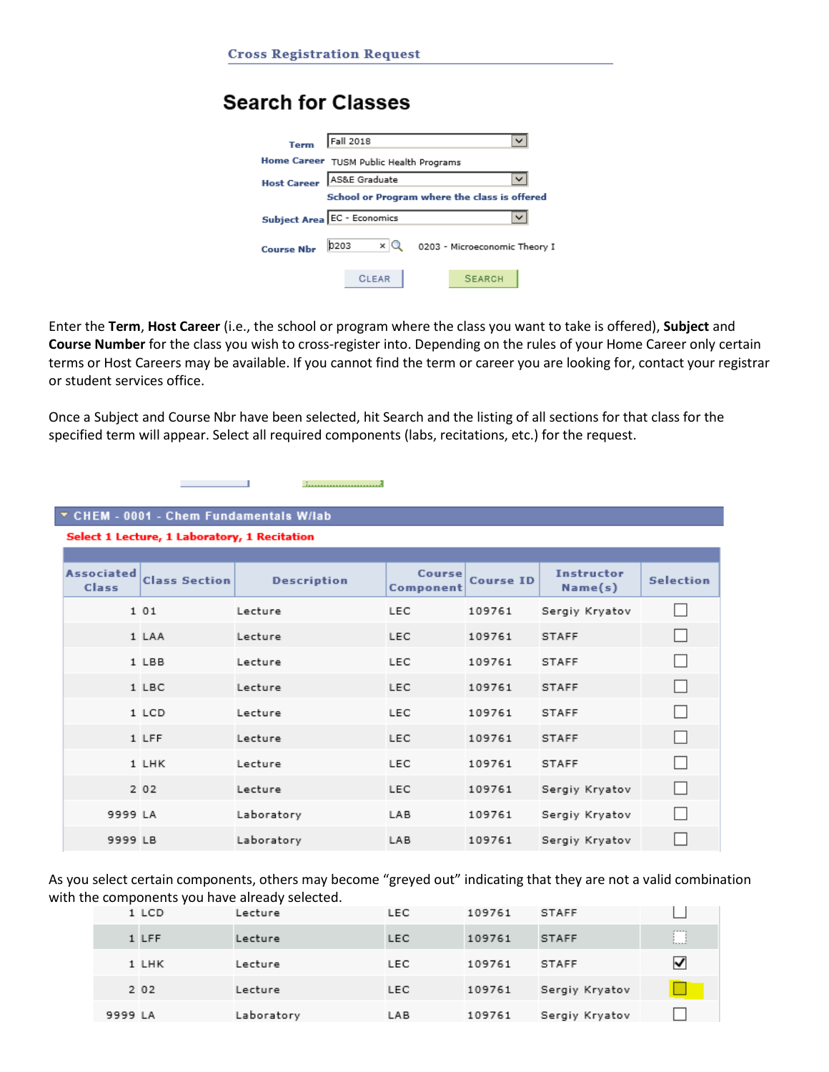# **Search for Classes**



Enter the **Term**, **Host Career** (i.e., the school or program where the class you want to take is offered), **Subject** and **Course Number** for the class you wish to cross-register into. Depending on the rules of your Home Career only certain terms or Host Careers may be available. If you cannot find the term or career you are looking for, contact your registrar or student services office.

Once a Subject and Course Nbr have been selected, hit Search and the listing of all sections for that class for the specified term will appear. Select all required components (labs, recitations, etc.) for the request.

- 1

## ▼ CHEM - 0001 - Chem Fundamentals W/lab

Select 1 Lecture, 1 Laboratory, 1 Recitation

| <b>Associated</b><br>Class | <b>Class Section</b> | <b>Description</b> | <b>Course</b><br>Component | <b>Course ID</b> | <b>Instructor</b><br>Name(s) | <b>Selection</b>         |
|----------------------------|----------------------|--------------------|----------------------------|------------------|------------------------------|--------------------------|
|                            | 1 0 1                | Lecture            | LEC                        | 109761           | Sergiy Kryatov               | H                        |
|                            | 1 LAA                | Lecture            | <b>LEC</b>                 | 109761           | <b>STAFF</b>                 | $\overline{\phantom{a}}$ |
|                            | 1 LBB                | Lecture            | <b>LEC</b>                 | 109761           | <b>STAFF</b>                 | $\mathsf{L}$             |
|                            | 1 LBC                | Lecture            | <b>LEC</b>                 | 109761           | <b>STAFF</b>                 | $\mathsf{L}$             |
|                            | 1 LCD                | Lecture            | <b>LEC</b>                 | 109761           | <b>STAFF</b>                 | $\vert \ \ \vert$        |
|                            | 1 LFF                | Lecture            | <b>LEC</b>                 | 109761           | <b>STAFF</b>                 | $\mathsf{L}$             |
|                            | 1 LHK                | Lecture            | <b>LEC</b>                 | 109761           | <b>STAFF</b>                 | $\mathsf{L}$             |
|                            | 2 0 2                | Lecture            | <b>LEC</b>                 | 109761           | Sergiy Kryatov               | H                        |
| 9999 LA                    |                      | Laboratory         | LAB                        | 109761           | Sergiy Kryatov               | U                        |
| 9999 LB                    |                      | Laboratory         | LAB                        | 109761           | Sergiy Kryatov               | 4.7                      |

As you select certain components, others may become "greyed out" indicating that they are not a valid combination with the components you have already selected.

|         | 1 LCD | Lecture    | LEC        | 109761 | <b>STAFF</b>   |             |
|---------|-------|------------|------------|--------|----------------|-------------|
|         | 1 LFF | Lecture    | <b>LEC</b> | 109761 | <b>STAFF</b>   | 1. <i>.</i> |
|         | 1 LHK | Lecture    | <b>LEC</b> | 109761 | <b>STAFF</b>   | ⊻           |
|         | 2 0 2 | Lecture    | LEC        | 109761 | Sergiy Kryatov |             |
| 9999 LA |       | Laboratory | LAB        | 109761 | Sergiy Kryatov |             |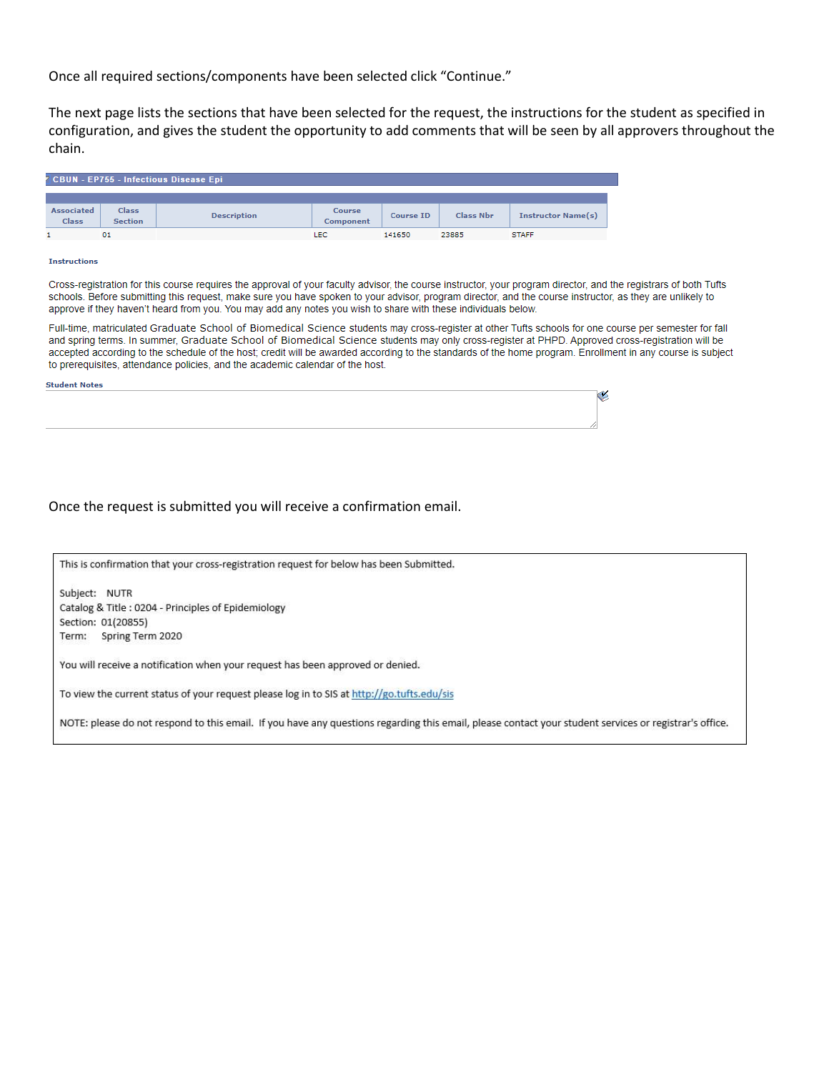Once all required sections/components have been selected click "Continue."

The next page lists the sections that have been selected for the request, the instructions for the student as specified in configuration, and gives the student the opportunity to add comments that will be seen by all approvers throughout the chain.

| <sup>7</sup> CBUN - EP755 - Infectious Disease Epi |                                |                    |                     |                  |                  |                           |
|----------------------------------------------------|--------------------------------|--------------------|---------------------|------------------|------------------|---------------------------|
|                                                    |                                |                    |                     |                  |                  |                           |
| <b>Associated</b><br><b>Class</b>                  | <b>Class</b><br><b>Section</b> | <b>Description</b> | Course<br>Component | <b>Course ID</b> | <b>Class Nbr</b> | <b>Instructor Name(s)</b> |
|                                                    | 01                             |                    | LEC                 | 141650           | 23885            | <b>STAFF</b>              |

#### **Instructions**

ś

Cross-registration for this course requires the approval of your faculty advisor, the course instructor, your program director, and the registrars of both Tufts schools. Before submitting this request, make sure you have spoken to your advisor, program director, and the course instructor, as they are unlikely to approve if they haven't heard from you. You may add any notes you wish to share with these individuals below.

Full-time, matriculated Graduate School of Biomedical Science students may cross-register at other Tufts schools for one course per semester for fall and spring terms. In summer, Graduate School of Biomedical Science students may only cross-register at PHPD. Approved cross-registration will be accepted according to the schedule of the host; credit will be awarded according to the standards of the home program. Enrollment in any course is subject to prerequisites, attendance policies, and the academic calendar of the host.

| Student Notes |  |
|---------------|--|
|               |  |
|               |  |
|               |  |
|               |  |

Once the request is submitted you will receive a confirmation email.

This is confirmation that your cross-registration request for below has been Submitted.

Subject: NUTR Catalog & Title : 0204 - Principles of Epidemiology Section: 01(20855) Term: Spring Term 2020

You will receive a notification when your request has been approved or denied.

To view the current status of your request please log in to SIS at http://go.tufts.edu/sis

NOTE: please do not respond to this email. If you have any questions regarding this email, please contact your student services or registrar's office.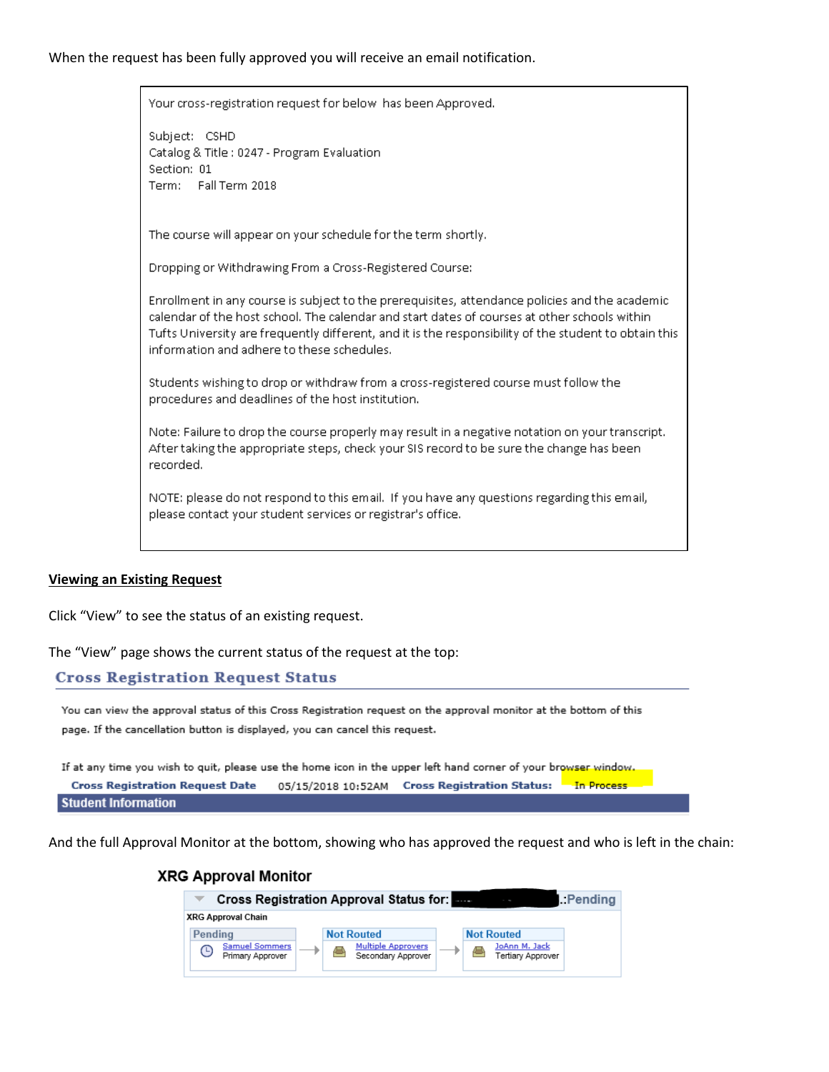## When the request has been fully approved you will receive an email notification.

Your cross-registration request for below has been Approved.

Subject: CSHD Catalog & Title: 0247 - Program Evaluation Section: 01 Term: Fall Term 2018

The course will appear on your schedule for the term shortly.

Dropping or Withdrawing From a Cross-Registered Course:

Enrollment in any course is subject to the prerequisites, attendance policies and the academic calendar of the host school. The calendar and start dates of courses at other schools within Tufts University are frequently different, and it is the responsibility of the student to obtain this information and adhere to these schedules.

Students wishing to drop or withdraw from a cross-registered course must follow the procedures and deadlines of the host institution.

Note: Failure to drop the course properly may result in a negative notation on your transcript. After taking the appropriate steps, check your SIS record to be sure the change has been recorded.

NOTE: please do not respond to this email. If you have any questions regarding this email, please contact your student services or registrar's office.

### **Viewing an Existing Request**

Click "View" to see the status of an existing request.

The "View" page shows the current status of the request at the top:

## **Cross Registration Request Status**

You can view the approval status of this Cross Registration request on the approval monitor at the bottom of this page. If the cancellation button is displayed, you can cancel this request.

If at any time you wish to quit, please use the home icon in the upper left hand corner of your browser window. **Cross Registration Request Date** 05/15/2018 10:52AM Cross Registration Status: In Process **Student Information** 

And the full Approval Monitor at the bottom, showing who has approved the request and who is left in the chain:

### **XRG Approval Monitor**

|                                                | Cross Registration Approval Status for: Engl    |                                    | $\blacksquare$ : Pending |
|------------------------------------------------|-------------------------------------------------|------------------------------------|--------------------------|
| <b>XRG Approval Chain</b>                      |                                                 |                                    |                          |
| Pendina                                        | <b>Not Routed</b>                               | <b>Not Routed</b>                  |                          |
| <b>Samuel Sommers</b><br>G<br>Primary Approver | <b>Multiple Approvers</b><br>Secondary Approver | JoAnn M. Jack<br>Tertiary Approver |                          |